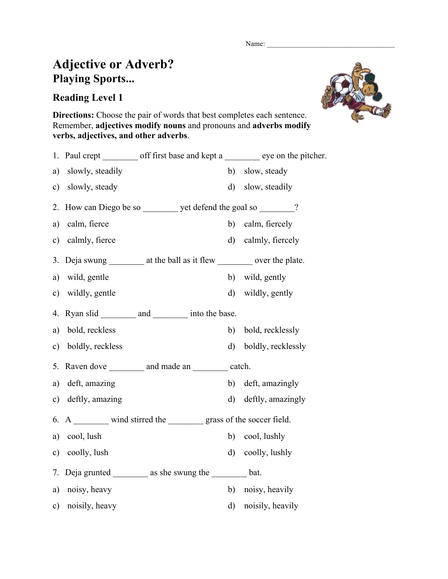Name:

## **Adjective or Adverb? Playing Sports...**

## **Reading Level 1**

**Directions:** Choose the pair of words that best completes each sentence. Remember, **adjectives modify nouns** and pronouns and **adverbs modify verbs, adjectives, and other adverbs**.

|               | 1. Paul crept __________ off first base and kept a __________ eye on the pitcher. |              |                    |
|---------------|-----------------------------------------------------------------------------------|--------------|--------------------|
| a)            | slowly, steadily                                                                  |              | b) slow, steady    |
| $\mathbf{c})$ | slowly, steady                                                                    | $\rm d$      | slow, steadily     |
| 2.            | How can Diego be so _________ yet defend the goal so ________?                    |              |                    |
| a)            | calm, fierce                                                                      | b)           | calm, fiercely     |
| c)            | calmly, fierce                                                                    | $\rm d)$     | calmly, fiercely   |
| 3.            | Deja swung _____________ at the ball as it flew _________________ over the plate. |              |                    |
| a)            | wild, gentle                                                                      |              | b) wild, gently    |
| $\mathbf{c})$ | wildly, gentle                                                                    | $\rm d)$     | wildly, gently     |
| 4.            | Ryan slid and into the base.                                                      |              |                    |
| a)            | bold, reckless                                                                    | b)           | bold, recklessly   |
| c)            | boldly, reckless                                                                  | $\mathbf{d}$ | boldly, recklessly |
| 5.            | Raven dove ___________ and made an __________ catch.                              |              |                    |
| a)            | deft, amazing                                                                     | b)           | deft, amazingly    |
| $\mathbf{c})$ | deftly, amazing                                                                   | $\mathbf{d}$ | deftly, amazingly  |
| 6.            | A wind stirred the grass of the soccer field.                                     |              |                    |
| a)            | cool, lush                                                                        | b)           | cool, lushly       |
| $\mathbf{c})$ | coolly, lush                                                                      | $\mathbf{d}$ | coolly, lushly     |
| 7.            | Deja grunted ___________ as she swung the ___________ bat.                        |              |                    |
| a)            | noisy, heavy                                                                      | b)           | noisy, heavily     |
| $\circ$ )     | noisily, heavy                                                                    | $\rm d)$     | noisily, heavily   |

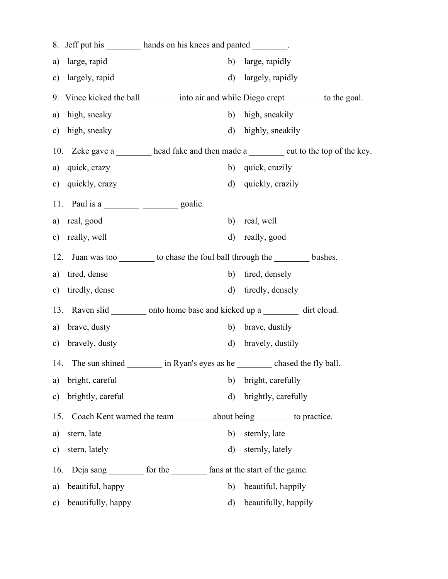|               |                    | 8. Jeff put his __________ hands on his knees and panted _________.            |                                                                                            |
|---------------|--------------------|--------------------------------------------------------------------------------|--------------------------------------------------------------------------------------------|
| a)            | large, rapid       | b)                                                                             | large, rapidly                                                                             |
| c)            | largely, rapid     | d)                                                                             | largely, rapidly                                                                           |
|               |                    |                                                                                | 9. Vince kicked the ball __________ into air and while Diego crept __________ to the goal. |
| a)            | high, sneaky       | b)                                                                             | high, sneakily                                                                             |
|               | c) high, sneaky    | d)                                                                             | highly, sneakily                                                                           |
|               |                    |                                                                                | 10. Zeke gave a _______ head fake and then made a ________ cut to the top of the key.      |
|               | a) quick, crazy    | b)                                                                             | quick, crazily                                                                             |
|               | c) quickly, crazy  |                                                                                | d) quickly, crazily                                                                        |
|               |                    |                                                                                |                                                                                            |
|               | a) real, good      | b)                                                                             | real, well                                                                                 |
|               | c) really, well    | d)                                                                             | really, good                                                                               |
| 12.           |                    | Juan was too __________ to chase the foul ball through the ___________ bushes. |                                                                                            |
|               | a) tired, dense    | b)                                                                             | tired, densely                                                                             |
|               | c) tiredly, dense  | d)                                                                             | tiredly, densely                                                                           |
| 13.           |                    | Raven slid __________ onto home base and kicked up a ___________ dirt cloud.   |                                                                                            |
|               | a) brave, dusty    | b)                                                                             | brave, dustily                                                                             |
|               | c) bravely, dusty  | d)                                                                             | bravely, dustily                                                                           |
| 14.           | The sun shined     | in Ryan's eyes as he                                                           | chased the fly ball.                                                                       |
| a)            | bright, careful    | b)                                                                             | bright, carefully                                                                          |
| $\mathbf{c})$ | brightly, careful  | $\rm d$                                                                        | brightly, carefully                                                                        |
| 15.           |                    | Coach Kent warned the team ___________ about being __________ to practice.     |                                                                                            |
| a)            | stern, late        | b)                                                                             | sternly, late                                                                              |
| c)            | stern, lately      | d)                                                                             | sternly, lately                                                                            |
| 16.           |                    | Deja sang ___________ for the _____________ fans at the start of the game.     |                                                                                            |
| a)            | beautiful, happy   | b)                                                                             | beautiful, happily                                                                         |
| $\mathbf{c})$ | beautifully, happy | $\rm d)$                                                                       | beautifully, happily                                                                       |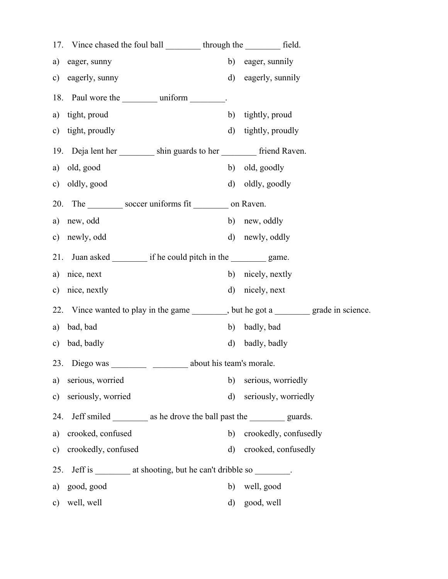|               | 17. Vince chased the foul ball ___________ through the ___________ field.              |              |                       |
|---------------|----------------------------------------------------------------------------------------|--------------|-----------------------|
| a)            | eager, sunny                                                                           | b)           | eager, sunnily        |
|               | c) eagerly, sunny                                                                      |              | d) eagerly, sunnily   |
|               | 18. Paul wore the __________ uniform ________.                                         |              |                       |
|               | a) tight, proud                                                                        | b)           | tightly, proud        |
|               | c) tight, proudly                                                                      |              | d) tightly, proudly   |
|               | 19. Deja lent her ___________ shin guards to her ___________ friend Raven.             |              |                       |
|               | a) old, good                                                                           |              | b) old, goodly        |
|               | c) oldly, good                                                                         |              | d) oldly, goodly      |
|               | 20. The soccer uniforms fit _________ on Raven.                                        |              |                       |
|               | a) new, odd                                                                            |              | b) new, oddly         |
|               | c) newly, odd                                                                          |              | d) newly, oddly       |
|               | 21. Juan asked ___________ if he could pitch in the ___________ game.                  |              |                       |
|               | a) nice, next                                                                          |              | b) nicely, nextly     |
|               | c) nice, nextly                                                                        |              | d) nicely, next       |
|               | 22. Vince wanted to play in the game ________, but he got a ________ grade in science. |              |                       |
|               | a) bad, bad                                                                            | b)           | badly, bad            |
|               | c) bad, badly                                                                          |              | d) badly, badly       |
|               | 23. Diego was<br>about his team's morale.                                              |              |                       |
| a)            | serious, worried                                                                       | b)           | serious, worriedly    |
| $\mathbf{c})$ | seriously, worried                                                                     | $\rm d)$     | seriously, worriedly  |
| 24.           | Jeff smiled ___________ as he drove the ball past the ___________ guards.              |              |                       |
| a)            | crooked, confused                                                                      | b)           | crookedly, confusedly |
| $\mathbf{c})$ | crookedly, confused                                                                    | $\mathbf{d}$ | crooked, confusedly   |
| 25.           | Jeff is __________ at shooting, but he can't dribble so _________.                     |              |                       |
| a)            | good, good                                                                             | b)           | well, good            |
|               | c) well, well                                                                          |              | d) good, well         |